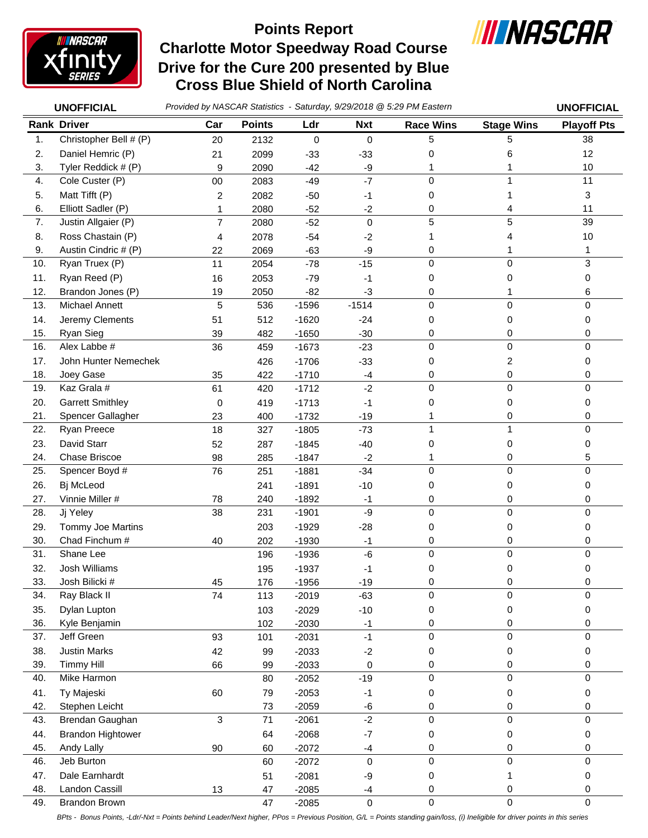

## **Charlotte Motor Speedway Road Course Drive for the Cure 200 presented by Blue Cross Blue Shield of North Carolina Points Report**



*Provided by NASCAR Statistics - Saturday, 9/29/2018 @ 5:29 PM Eastern* **UNOFFICIAL UNOFFICIAL**

|  | <b>UNOFFICIAL</b> |  |
|--|-------------------|--|
|  |                   |  |

|     | <b>Rank Driver</b>       | Car    | <b>Points</b> | Ldr       | <b>Nxt</b>  | <b>Race Wins</b>    | <b>Stage Wins</b> | <b>Playoff Pts</b> |
|-----|--------------------------|--------|---------------|-----------|-------------|---------------------|-------------------|--------------------|
| 1.  | Christopher Bell # (P)   | 20     | 2132          | $\pmb{0}$ | $\mathbf 0$ | 5                   | 5                 | 38                 |
| 2.  | Daniel Hemric (P)        | 21     | 2099          | $-33$     | $-33$       | 0                   | 6                 | 12                 |
| 3.  | Tyler Reddick # (P)      | 9      | 2090          | $-42$     | $-9$        | 1                   |                   | 10                 |
| 4.  | Cole Custer (P)          | $00\,$ | 2083          | $-49$     | $-7$        | $\mathbf 0$         | 1                 | 11                 |
| 5.  | Matt Tifft (P)           | 2      | 2082          | $-50$     | $-1$        | 0                   | 1                 | 3                  |
| 6.  | Elliott Sadler (P)       | 1      | 2080          | $-52$     | $-2$        | 0                   | 4                 | 11                 |
| 7.  | Justin Allgaier (P)      | 7      | 2080          | $-52$     | $\mathbf 0$ | 5                   | 5                 | 39                 |
| 8.  | Ross Chastain (P)        | 4      | 2078          | $-54$     | $-2$        |                     | 4                 | 10                 |
| 9.  | Austin Cindric # (P)     | 22     | 2069          | $-63$     | -9          | 0                   | 1                 | 1                  |
| 10. | Ryan Truex (P)           | 11     | 2054          | $-78$     | $-15$       | $\mathbf 0$         | $\mathbf 0$       | 3                  |
| 11. | Ryan Reed (P)            | 16     | 2053          | $-79$     | $-1$        | 0                   | 0                 | 0                  |
| 12. | Brandon Jones (P)        | 19     | 2050          | $-82$     | $-3$        | 0                   | 1                 | 6                  |
| 13. | Michael Annett           | 5      | 536           | $-1596$   | $-1514$     | $\mathbf 0$         | $\mathbf 0$       | 0                  |
| 14. | Jeremy Clements          | 51     | 512           | $-1620$   | $-24$       | 0                   | 0                 | 0                  |
| 15. | Ryan Sieg                | 39     | 482           | $-1650$   | $-30$       | 0                   | 0                 | 0                  |
| 16. | Alex Labbe #             | 36     | 459           | $-1673$   | $-23$       | $\mathbf 0$         | $\mathbf 0$       | 0                  |
| 17. | John Hunter Nemechek     |        | 426           | $-1706$   | $-33$       | 0                   | 2                 | 0                  |
| 18. | Joey Gase                | 35     | 422           | $-1710$   | $-4$        | 0                   | 0                 | 0                  |
| 19. | Kaz Grala #              | 61     | 420           | $-1712$   | $-2$        | $\mathbf 0$         | $\mathbf 0$       | 0                  |
| 20. | <b>Garrett Smithley</b>  | 0      | 419           | $-1713$   | $-1$        | 0                   | 0                 | 0                  |
| 21. | Spencer Gallagher        | 23     | 400           | $-1732$   | $-19$       |                     | 0                 | 0                  |
| 22. | Ryan Preece              | 18     | 327           | $-1805$   | $-73$       | 1                   | 1                 | 0                  |
| 23. | David Starr              | 52     | 287           | $-1845$   | $-40$       | 0                   | 0                 | 0                  |
| 24. | Chase Briscoe            | 98     | 285           | $-1847$   | $-2$        |                     | 0                 | 5                  |
| 25. | Spencer Boyd #           | 76     | 251           | $-1881$   | $-34$       | 0                   | $\mathbf 0$       | 0                  |
| 26. | Bj McLeod                |        | 241           | $-1891$   | $-10$       | 0                   | 0                 | 0                  |
| 27. | Vinnie Miller #          | 78     | 240           | $-1892$   | $-1$        | 0                   | 0                 | 0                  |
| 28. | Jj Yeley                 | 38     | 231           | $-1901$   | -9          | $\mathbf 0$         | $\mathbf 0$       | 0                  |
| 29. | Tommy Joe Martins        |        | 203           | $-1929$   | $-28$       | 0                   | 0                 | 0                  |
| 30. | Chad Finchum #           | 40     | 202           | $-1930$   | -1          | 0                   | 0                 | 0                  |
| 31. | Shane Lee                |        | 196           | $-1936$   | $-6$        | $\mathbf 0$         | $\mathbf 0$       | 0                  |
| 32. | Josh Williams            |        | 195           | $-1937$   | -1          | 0                   | 0                 | 0                  |
| 33. | Josh Bilicki #           | 45     | 176           | $-1956$   | $-19$       | 0                   | 0                 | 0                  |
| 34. | Ray Black II             | 74     | 113           | $-2019$   | $-63$       | $\mathbf 0$         | 0                 | 0                  |
| 35. | Dylan Lupton             |        | 103           | $-2029$   | $-10$       | 0                   | 0                 | 0                  |
| 36. | Kyle Benjamin            |        | 102           | $-2030$   | $-1$        | 0                   | 0                 | 0                  |
| 37. | Jeff Green               | 93     | 101           | $-2031$   | $-1$        | 0                   | $\pmb{0}$         | 0                  |
| 38. | <b>Justin Marks</b>      | 42     | 99            | $-2033$   | $-2$        | 0                   | 0                 | 0                  |
| 39. | <b>Timmy Hill</b>        | 66     | 99            | $-2033$   | 0           | 0                   | 0                 | 0                  |
| 40. | Mike Harmon              |        | 80            | $-2052$   | $-19$       | 0                   | $\pmb{0}$         | 0                  |
| 41. | Ty Majeski               | 60     | 79            | $-2053$   | $-1$        | 0                   | 0                 | 0                  |
| 42. | Stephen Leicht           |        | 73            | $-2059$   | -6          | 0                   | 0                 | 0                  |
| 43. | Brendan Gaughan          | 3      | 71            | $-2061$   | $-2$        | 0                   | $\mathbf 0$       | 0                  |
| 44. | <b>Brandon Hightower</b> |        | 64            | $-2068$   | $-7$        | 0                   | 0                 | 0                  |
| 45. | Andy Lally               | 90     | 60            | $-2072$   | $-4$        | 0                   | 0                 | 0                  |
| 46. | Jeb Burton               |        | 60            | $-2072$   | 0           | $\mathbf 0$         | $\mathbf 0$       | 0                  |
| 47. | Dale Earnhardt           |        | 51            | $-2081$   | -9          | 0                   | 1                 | 0                  |
| 48. | Landon Cassill           | 13     | 47            | $-2085$   | $-4$        | 0                   | 0                 | 0                  |
| 49. | Brandon Brown            |        | 47            | $-2085$   | $\pmb{0}$   | $\mathsf{O}\xspace$ | $\mathsf 0$       | 0                  |

*BPts - Bonus Points, -Ldr/-Nxt = Points behind Leader/Next higher, PPos = Previous Position, G/L = Points standing gain/loss, (i) Ineligible for driver points in this series*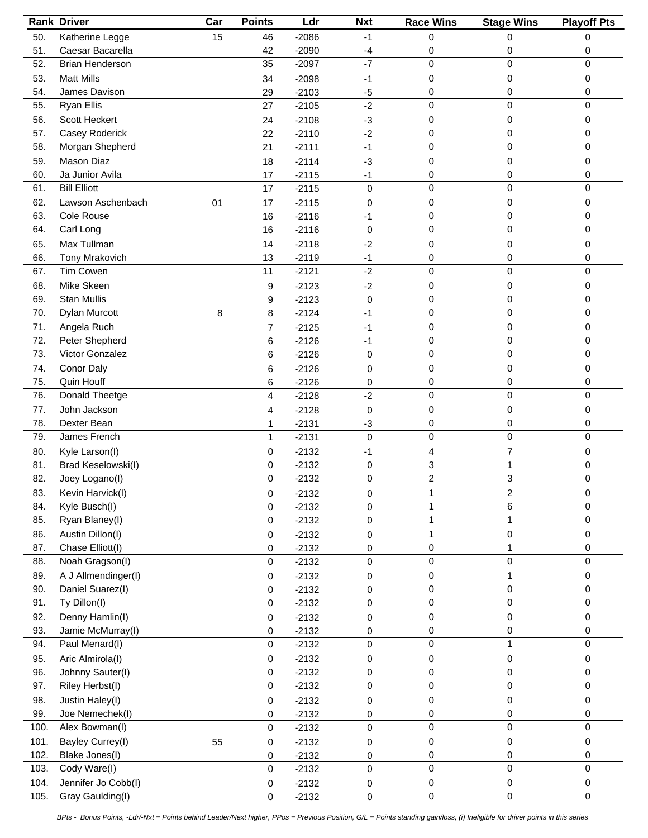|      | <b>Rank Driver</b>     | Car | <b>Points</b>       | Ldr     | <b>Nxt</b> | <b>Race Wins</b> | <b>Stage Wins</b> | <b>Playoff Pts</b> |
|------|------------------------|-----|---------------------|---------|------------|------------------|-------------------|--------------------|
| 50.  | Katherine Legge        | 15  | 46                  | $-2086$ | $-1$       | 0                | 0                 | 0                  |
| 51.  | Caesar Bacarella       |     | 42                  | $-2090$ | $-4$       | 0                | 0                 | 0                  |
| 52.  | <b>Brian Henderson</b> |     | 35                  | $-2097$ | $-7$       | 0                | 0                 | 0                  |
| 53.  | <b>Matt Mills</b>      |     | 34                  | $-2098$ | -1         | 0                | 0                 | 0                  |
| 54.  | James Davison          |     | 29                  | $-2103$ | $-5$       | 0                | 0                 | 0                  |
| 55.  | <b>Ryan Ellis</b>      |     | 27                  | $-2105$ | $-2$       | 0                | 0                 | 0                  |
| 56.  | Scott Heckert          |     | 24                  | $-2108$ | $-3$       | 0                | 0                 | 0                  |
| 57.  | Casey Roderick         |     | 22                  | $-2110$ | $-2$       | 0                | 0                 | 0                  |
| 58.  | Morgan Shepherd        |     | 21                  | $-2111$ | $-1$       | $\mathbf 0$      | $\pmb{0}$         | 0                  |
| 59.  | <b>Mason Diaz</b>      |     | 18                  | $-2114$ | $-3$       | 0                | 0                 | 0                  |
| 60.  | Ja Junior Avila        |     | 17                  | $-2115$ | $-1$       | 0                | 0                 | 0                  |
| 61.  | <b>Bill Elliott</b>    |     | 17                  | $-2115$ | 0          | $\overline{0}$   | 0                 | 0                  |
| 62.  | Lawson Aschenbach      | 01  | 17                  | $-2115$ | 0          | 0                | 0                 | 0                  |
| 63.  | Cole Rouse             |     | 16                  | $-2116$ | -1         | 0                | 0                 | 0                  |
| 64.  | Carl Long              |     | 16                  | $-2116$ | 0          | 0                | 0                 | 0                  |
| 65.  | Max Tullman            |     |                     |         |            |                  |                   |                    |
| 66.  |                        |     | 14                  | $-2118$ | $-2$       | 0                | 0                 | 0                  |
|      | Tony Mrakovich         |     | 13                  | $-2119$ | $-1$       | 0                | 0                 | 0                  |
| 67.  | Tim Cowen              |     | 11                  | $-2121$ | $-2$       | 0                | 0                 | 0                  |
| 68.  | Mike Skeen             |     | 9                   | $-2123$ | $-2$       | 0                | 0                 | 0                  |
| 69.  | <b>Stan Mullis</b>     |     | 9                   | $-2123$ | 0          | 0                | 0                 | 0                  |
| 70.  | Dylan Murcott          | 8   | 8                   | $-2124$ | $-1$       | $\mathbf 0$      | 0                 | 0                  |
| 71.  | Angela Ruch            |     | $\overline{7}$      | $-2125$ | $-1$       | 0                | 0                 | 0                  |
| 72.  | Peter Shepherd         |     | 6                   | $-2126$ | $-1$       | 0                | 0                 | 0                  |
| 73.  | Victor Gonzalez        |     | 6                   | $-2126$ | 0          | 0                | 0                 | 0                  |
| 74.  | Conor Daly             |     | 6                   | $-2126$ | 0          | 0                | 0                 | 0                  |
| 75.  | Quin Houff             |     | 6                   | $-2126$ | 0          | 0                | 0                 | 0                  |
| 76.  | Donald Theetge         |     | 4                   | $-2128$ | $-2$       | 0                | 0                 | 0                  |
| 77.  | John Jackson           |     | 4                   | $-2128$ | 0          | 0                | 0                 | 0                  |
| 78.  | Dexter Bean            |     | 1                   | $-2131$ | $-3$       | 0                | 0                 | 0                  |
| 79.  | James French           |     | 1                   | $-2131$ | 0          | 0                | 0                 | 0                  |
| 80.  | Kyle Larson(I)         |     | 0                   | $-2132$ | -1         | 4                | 7                 | 0                  |
| 81.  | Brad Keselowski(I)     |     | 0                   | $-2132$ | 0          | 3                | 1                 | 0                  |
| 82.  | Joey Logano(I)         |     | $\mathbf 0$         | $-2132$ | 0          | $\overline{c}$   | 3                 | 0                  |
| 83.  | Kevin Harvick(I)       |     | $\pmb{0}$           | $-2132$ | $\pmb{0}$  | 1                | 2                 |                    |
| 84.  | Kyle Busch(I)          |     | 0                   | $-2132$ | 0          |                  | 6                 | 0                  |
| 85.  | Ryan Blaney(I)         |     | 0                   | $-2132$ | 0          |                  |                   | 0                  |
| 86.  | Austin Dillon(I)       |     | 0                   | $-2132$ | 0          |                  | 0                 | 0                  |
| 87.  | Chase Elliott(I)       |     | 0                   | $-2132$ | 0          | 0                | 1                 | 0                  |
| 88.  | Noah Gragson(I)        |     | $\pmb{0}$           | $-2132$ | 0          | $\Omega$         | 0                 | 0                  |
| 89.  | A J Allmendinger(I)    |     | 0                   | $-2132$ | 0          | 0                |                   | 0                  |
| 90.  | Daniel Suarez(I)       |     | 0                   | $-2132$ | 0          | 0                | 0                 | 0                  |
| 91.  | Ty Dillon(I)           |     | 0                   | $-2132$ | 0          | 0                | 0                 | 0                  |
| 92.  | Denny Hamlin(I)        |     | 0                   | $-2132$ | 0          | 0                | 0                 | 0                  |
| 93.  | Jamie McMurray(I)      |     | 0                   | $-2132$ | 0          | 0                | 0                 | 0                  |
| 94.  | Paul Menard(I)         |     | 0                   | $-2132$ | 0          | 0                | $\mathbf{1}$      | $\mathsf 0$        |
| 95.  | Aric Almirola(I)       |     | 0                   | $-2132$ | 0          | 0                | 0                 | 0                  |
| 96.  | Johnny Sauter(I)       |     | 0                   | $-2132$ | 0          | 0                | 0                 | 0                  |
| 97.  | Riley Herbst(I)        |     | 0                   | $-2132$ | 0          | 0                | 0                 | 0                  |
| 98.  | Justin Haley(I)        |     | 0                   | $-2132$ | 0          | 0                | 0                 | 0                  |
| 99.  | Joe Nemechek(I)        |     | 0                   | $-2132$ | 0          | 0                | 0                 | 0                  |
| 100. | Alex Bowman(I)         |     | 0                   | $-2132$ | 0          | 0                | 0                 | 0                  |
| 101. | Bayley Currey(I)       | 55  | 0                   | $-2132$ | 0          | 0                | 0                 | 0                  |
| 102. | Blake Jones(I)         |     | 0                   | $-2132$ | 0          | 0                | 0                 | 0                  |
| 103. | Cody Ware(I)           |     | $\mathsf{O}\xspace$ | $-2132$ | 0          | 0                | 0                 | 0                  |
| 104. | Jennifer Jo Cobb(I)    |     | 0                   | $-2132$ | 0          | 0                | 0                 | 0                  |
| 105. | Gray Gaulding(I)       |     | 0                   | $-2132$ | 0          | 0                | 0                 | 0                  |
|      |                        |     |                     |         |            |                  |                   |                    |